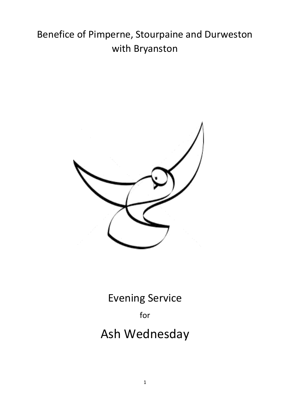# Benefice of Pimperne, Stourpaine and Durweston with Bryanston



Evening Service

for

# Ash Wednesday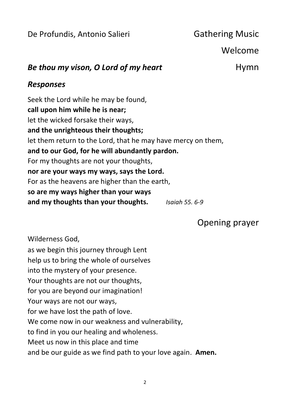De Profundis, Antonio Salieri **Gathering Music** 

Welcome

## *Be thou my vison, O Lord of my heart* **Hymn**

#### *Responses*

Seek the Lord while he may be found, **call upon him while he is near;** let the wicked forsake their ways, **and the unrighteous their thoughts;** let them return to the Lord, that he may have mercy on them, **and to our God, for he will abundantly pardon.** For my thoughts are not your thoughts, **nor are your ways my ways, says the Lord.** For as the heavens are higher than the earth, **so are my ways higher than your ways and my thoughts than your thoughts.** *Isaiah 55. 6-9*

Opening prayer

Wilderness God,

as we begin this journey through Lent help us to bring the whole of ourselves into the mystery of your presence. Your thoughts are not our thoughts, for you are beyond our imagination! Your ways are not our ways, for we have lost the path of love. We come now in our weakness and vulnerability, to find in you our healing and wholeness. Meet us now in this place and time and be our guide as we find path to your love again. **Amen.**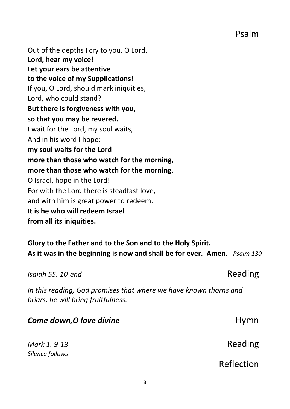Psalm

Out of the depths I cry to you, O Lord. **Lord, hear my voice! Let your ears be attentive to the voice of my Supplications!** If you, O Lord, should mark iniquities, Lord, who could stand? **But there is forgiveness with you, so that you may be revered.** I wait for the Lord, my soul waits, And in his word I hope; **my soul waits for the Lord more than those who watch for the morning, more than those who watch for the morning.** O Israel, hope in the Lord! For with the Lord there is steadfast love, and with him is great power to redeem. **It is he who will redeem Israel from all its iniquities.**

**Glory to the Father and to the Son and to the Holy Spirit. As it was in the beginning is now and shall be for ever. Amen.** *Psalm 130*

*Isaiah 55. 10-end* Reading

| In this reading, God promises that where we have known thorns and<br>briars, he will bring fruitfulness. |            |
|----------------------------------------------------------------------------------------------------------|------------|
| Come down, O love divine                                                                                 | Hymn       |
| Mark 1, 9-13<br>Silence follows                                                                          | Reading    |
|                                                                                                          | Reflection |
|                                                                                                          |            |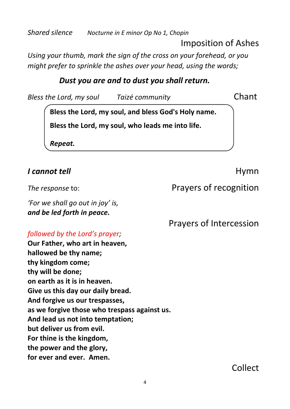*Shared silence Nocturne in E minor Op No 1, Chopin*

Imposition of Ashes

*Using your thumb, mark the sign of the cross on your forehead, or you might prefer to sprinkle the ashes over your head, using the words;* 

#### *Dust you are and to dust you shall return.*

*Bless the Lord, my soul Taizé community* Chant

**Bless the Lord, my soul, and bless God's Holy name.**

**Bless the Lord, my soul, who leads me into life.** 

*Repeat.*

#### *I cannot tell* Hymn

*'For we shall go out in joy' is, and be led forth in peace.*

#### *followed by the Lord's prayer;*

**Our Father, who art in heaven, hallowed be thy name; thy kingdom come; thy will be done; on earth as it is in heaven. Give us this day our daily bread. And forgive us our trespasses, as we forgive those who trespass against us. And lead us not into temptation; but deliver us from evil. For thine is the kingdom, the power and the glory, for ever and ever. Amen.**

*The response* to: *Prayers* of recognition

**Prayers of Intercession**